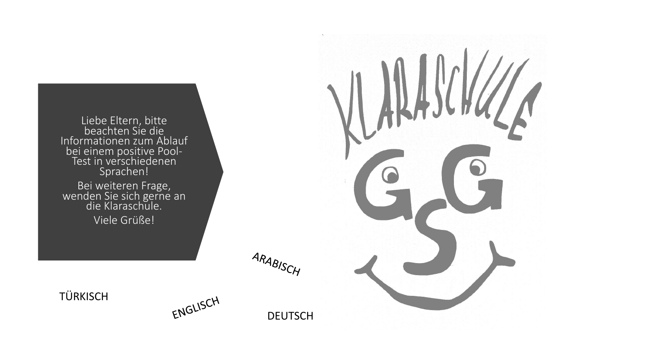Liebe Eltern, bitte beachten Sie die Informationen zum Ablauf bei einem positive Pool-Test in verschiedenen Sprachen!

Bei weiteren Frage, wenden Sie sich gerne an die Klaraschule.

Viele Grüße!

ENGLISCH

ARABISCH



**TÜRKISCH**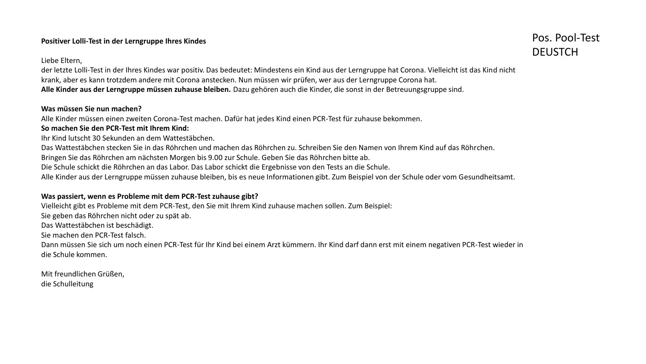#### **Positiver Lolli-Test in der Lerngruppe Ihres Kindes**

#### Liebe Eltern,

der letzte Lolli-Test in der Ihres Kindes war positiv. Das bedeutet: Mindestens ein Kind aus der Lerngruppe hat Corona. Vielleicht ist das Kind nicht krank, aber es kann trotzdem andere mit Corona anstecken. Nun müssen wir prüfen, wer aus der Lerngruppe Corona hat. **Alle Kinder aus der Lerngruppe müssen zuhause bleiben.** Dazu gehören auch die Kinder, die sonst in der Betreuungsgruppe sind.

# **Was müssen Sie nun machen?**

Alle Kinder müssen einen zweiten Corona-Test machen. Dafür hat jedes Kind einen PCR-Test für zuhause bekommen.

# **So machen Sie den PCR-Test mit Ihrem Kind:**

Ihr Kind lutscht 30 Sekunden an dem Wattestäbchen.

Das Wattestäbchen stecken Sie in das Röhrchen und machen das Röhrchen zu. Schreiben Sie den Namen von Ihrem Kind auf das Röhrchen.

Bringen Sie das Röhrchen am nächsten Morgen bis 9.00 zur Schule. Geben Sie das Röhrchen bitte ab.

Die Schule schickt die Röhrchen an das Labor. Das Labor schickt die Ergebnisse von den Tests an die Schule.

Alle Kinder aus der Lerngruppe müssen zuhause bleiben, bis es neue Informationen gibt. Zum Beispiel von der Schule oder vom Gesundheitsamt.

# **Was passiert, wenn es Probleme mit dem PCR-Test zuhause gibt?**

Vielleicht gibt es Probleme mit dem PCR-Test, den Sie mit Ihrem Kind zuhause machen sollen. Zum Beispiel:

Sie geben das Röhrchen nicht oder zu spät ab.

Das Wattestäbchen ist beschädigt.

Sie machen den PCR-Test falsch.

Dann müssen Sie sich um noch einen PCR-Test für Ihr Kind bei einem Arzt kümmern. Ihr Kind darf dann erst mit einem negativen PCR-Test wieder in die Schule kommen.

Mit freundlichen Grüßen, die Schulleitung

# Pos. Pool-Test DEUSTCH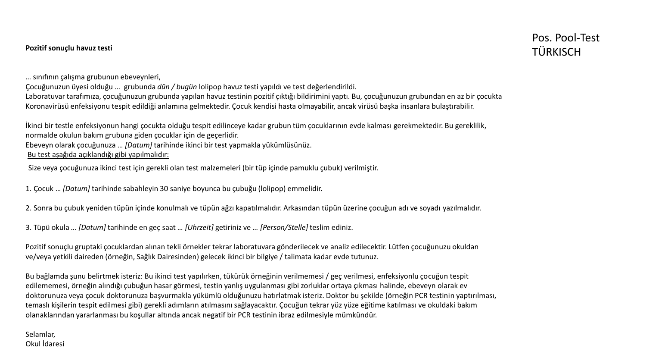… sınıfının çalışma grubunun ebeveynleri,

Çocuğunuzun üyesi olduğu … grubunda *dün / bugün* lolipop havuz testi yapıldı ve test değerlendirildi.

Laboratuvar tarafımıza, çocuğunuzun grubunda yapılan havuz testinin pozitif çıktığı bildirimini yaptı. Bu, çocuğunuzun grubundan en az bir çocukta Koronavirüsü enfeksiyonu tespit edildiği anlamına gelmektedir. Çocuk kendisi hasta olmayabilir, ancak virüsü başka insanlara bulaştırabilir.

İkinci bir testle enfeksiyonun hangi çocukta olduğu tespit edilinceye kadar grubun tüm çocuklarının evde kalması gerekmektedir. Bu gereklilik, normalde okulun bakım grubuna giden çocuklar için de geçerlidir. Ebeveyn olarak çocuğunuza … *[Datum]* tarihinde ikinci bir test yapmakla yükümlüsünüz. Bu test aşağıda açıklandığı gibi yapılmalıdır:

Size veya çocuğunuza ikinci test için gerekli olan test malzemeleri (bir tüp içinde pamuklu çubuk) verilmiştir.

1. Çocuk … *[Datum]* tarihinde sabahleyin 30 saniye boyunca bu çubuğu (lolipop) emmelidir.

2. Sonra bu çubuk yeniden tüpün içinde konulmalı ve tüpün ağzı kapatılmalıdır. Arkasından tüpün üzerine çocuğun adı ve soyadı yazılmalıdır.

3. Tüpü okula *… [Datum]* tarihinde en geç saat *… [Uhrzeit]* getiriniz ve *… [Person/Stelle]* teslim ediniz.

Pozitif sonuçlu gruptaki çocuklardan alınan tekli örnekler tekrar laboratuvara gönderilecek ve analiz edilecektir. Lütfen çocuğunuzu okuldan ve/veya yetkili daireden (örneğin, Sağlık Dairesinden) gelecek ikinci bir bilgiye / talimata kadar evde tutunuz.

Bu bağlamda şunu belirtmek isteriz: Bu ikinci test yapılırken, tükürük örneğinin verilmemesi / geç verilmesi, enfeksiyonlu çocuğun tespit edilememesi, örneğin alındığı çubuğun hasar görmesi, testin yanlış uygulanması gibi zorluklar ortaya çıkması halinde, ebeveyn olarak ev doktorunuza veya çocuk doktorunuza başvurmakla yükümlü olduğunuzu hatırlatmak isteriz. Doktor bu şekilde (örneğin PCR testinin yaptırılması, temaslı kişilerin tespit edilmesi gibi) gerekli adımların atılmasını sağlayacaktır. Çocuğun tekrar yüz yüze eğitime katılması ve okuldaki bakım olanaklarından yararlanması bu koşullar altında ancak negatif bir PCR testinin ibraz edilmesiyle mümkündür.

Selamlar, Okul İdaresi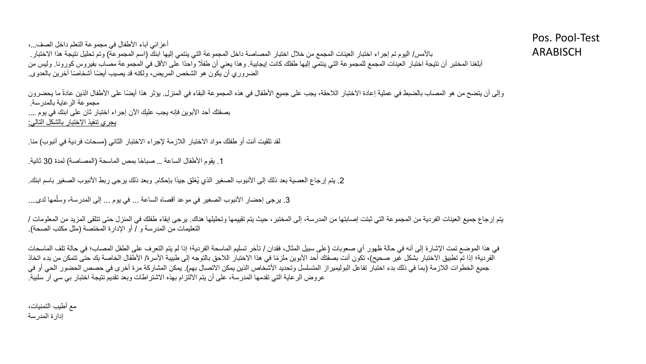أعزائي آباء الأطفال في مجموعة التعلم داخل الصف...، بالأمس/ اليوم تم إجراء اختبار العينات المجمع من خلال اختبار المصاصة داخل المجموعة التي ينتمي إليها ابنك (اسم المجموعة) وتم تحليل نتيجة هذا الاختبار أبلغنا المختبر أن نتيجة اختبار العينات المجمع للمجموعة التي ينتمي اليعابية المغار واحدًا على الأقل المجموعة مصاب بغيروس كورونا. وليس من الضروري أن يكون هو الشخص المريض، ولكنه قد يصيب أيضًا أشخاصًا آخرين بالعدوى.

وإلى أن يتضح من هو المصاب بالضبط في عملية إعادة الاختبار اللاحقة، يجب على جميع الأطفال في هذه البعداء في المنزل يؤثر هذا أيضًا على الأطفال الذين عادةً ما يحضرون مجموعة الرعاية بالمدرسة. بصفتك أحد الأبوين فإنه يجب عليك الآن إجراء اختبار ثان على ابنك في يوم .... يجري تنفيذ االختبار بالشكل التالي:

لقد تلقيت أنت أو طفلك مواد الاختبار اللازمة لإجراء الاختبار الثاني (مسحات فردية في أنبوب) منا.

1. يقوم الأطفال الساعة ... صباحًا بمص الماسحة (المصاصة) لمدة 30 ثانية.

2. يتم إرجاع العصية بعد ذلك إلى الأنبوب الصغير الذي يُغلق جيدًا بإحكام. وبعد ذلك يرجى ربط الأنبوب الصغير باسم ابنك.

3. يرجى إحضار الأنبوب الصغير في موعد أقصاه الساعة ... في يوم ... إلى المدرسة، وسلمها لدى.... ٳٚ

يتم إرجاع جميع العينات الفردية من المجموعة التي ثبتت إصابتها من المدرسة، إلى المختبر ، حيث يتوسلها وتحليلها هناك. يرجى إبقاء طفلك في المنزل حتى تتلقى المزيد من المعلومات / التعليمات من المدرسة و / أو الإدارة المختصة (مثل مكتب الصحة).

في هذا الموضع تمت الإشارة إلى أنه في حالة ظهور أي صعوبات (على سبيل المثال، فقدان / تأخر تسليم الماسحة الفردية؛ إذا لم يتم التعرف على الطفل المصاب؛ في حالة تلف الماسحات الفردية؛ إذا تم تطبيق الاختبار بشكل غير صحيح)، تكون أنت بصفتك أحد الأبوين ملزمًا في هذا الاختبار اللاحق بالي عليليبة الأسرة/ الأطفال الخاصة بك حتى تتمكن من بدء اتخاذ جميع الخطوات اللازمة (بما في ذلك بدء اختبار تفاعل البوليميراز المتسلسل وتحديد الأشخاص الذين يمكن المشاركة مرة أخرى في حصص الحضور الحي أو في عروض الرعاية التي تقدمها المدرسة، على أن يتم االلتزام بهذه االشتراطات وبعد تقديم نتيجة اختبار بي سي آر سلبية.

مع أطيب التمنيات، إدارة المدرسة

Pos. Pool-Test ARABISCH